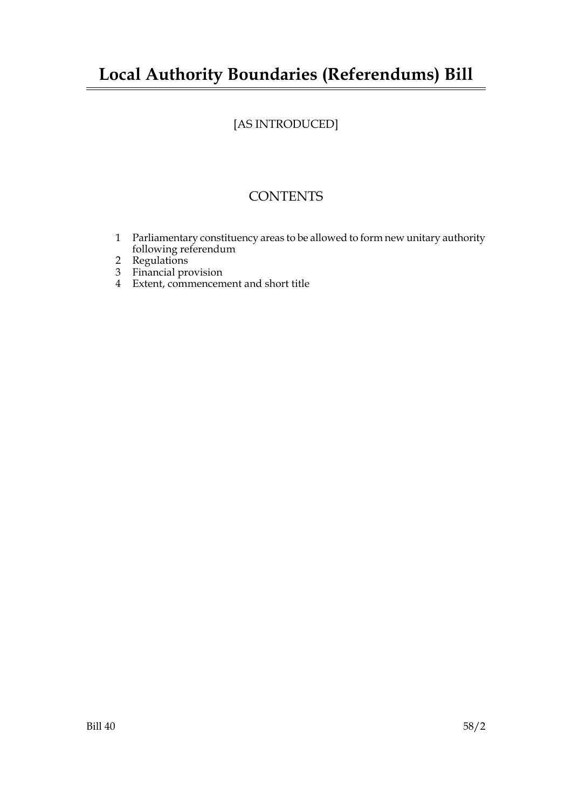# **Local Authority Boundaries (Referendums) Bill**

### [AS INTRODUCED]

## **CONTENTS**

- 1 Parliamentary constituency areas to be allowed to form new unitary authority following referendum
- 2 Regulations
- 3 Financial provision
- 4 Extent, commencement and short title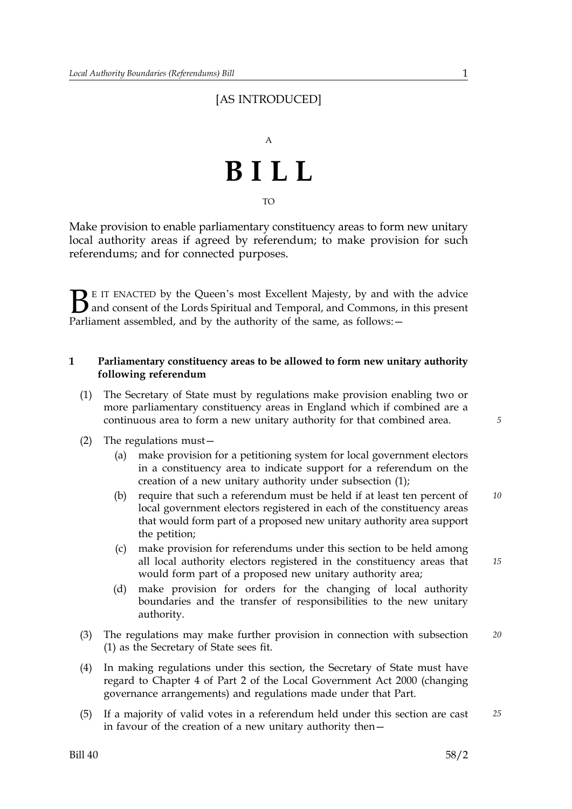### [AS INTRODUCED]



Make provision to enable parliamentary constituency areas to form new unitary local authority areas if agreed by referendum; to make provision for such referendums; and for connected purposes.

 $\sum$  E IT ENACTED by the Queen's most Excellent Majesty, by and with the advice<br>and consent of the Lords Spiritual and Temporal, and Commons, in this present<br>Parliament assembled, and by the authority of the same, as foll and consent of the Lords Spiritual and Temporal, and Commons, in this present Parliament assembled, and by the authority of the same, as follows: -

### **1 Parliamentary constituency areas to be allowed to form new unitary authority following referendum**

- (1) The Secretary of State must by regulations make provision enabling two or more parliamentary constituency areas in England which if combined are a continuous area to form a new unitary authority for that combined area.
- (2) The regulations must
	- make provision for a petitioning system for local government electors in a constituency area to indicate support for a referendum on the creation of a new unitary authority under subsection (1);
	- (b) require that such a referendum must be held if at least ten percent of *10* local government electors registered in each of the constituency areas that would form part of a proposed new unitary authority area support the petition;
	- (c) make provision for referendums under this section to be held among all local authority electors registered in the constituency areas that would form part of a proposed new unitary authority area;
	- (d) make provision for orders for the changing of local authority boundaries and the transfer of responsibilities to the new unitary authority.
- (3) The regulations may make further provision in connection with subsection *20* (1) as the Secretary of State sees fit.
- (4) In making regulations under this section, the Secretary of State must have regard to Chapter 4 of Part 2 of the Local Government Act 2000 (changing governance arrangements) and regulations made under that Part.
- (5) If a majority of valid votes in a referendum held under this section are cast *25* in favour of the creation of a new unitary authority then—

*5*

*15*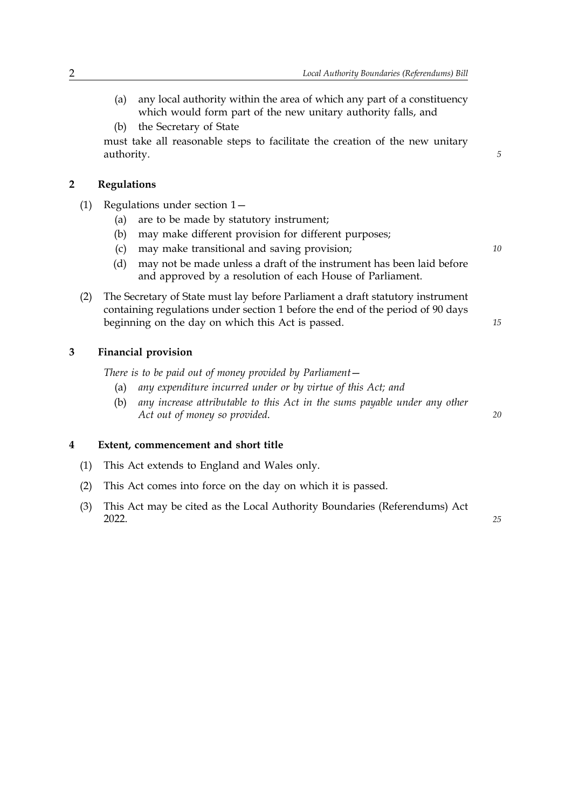(a) any local authority within the area of which any part of a constituency which would form part of the new unitary authority falls, and (b) the Secretary of State must take all reasonable steps to facilitate the creation of the new unitary authority. **2 Regulations**  (1) Regulations under section 1— (a) are to be made by statutory instrument; (b) may make different provision for different purposes; (c) may make transitional and saving provision; *10* (d) may not be made unless a draft of the instrument has been laid before and approved by a resolution of each House of Parliament. (2) The Secretary of State must lay before Parliament a draft statutory instrument containing regulations under section 1 before the end of the period of 90 days

#### **3 Financial provision**

*There is to be paid out of money provided by Parliament*—

beginning on the day on which this Act is passed.

- (a) *any expenditure incurred under or by virtue of this Act; and*
- (b) *any increase attributable to this Act in the sums payable under any other Act out of money so provided*.

#### **4 Extent, commencement and short title**

- (1) This Act extends to England and Wales only.
- (2) This Act comes into force on the day on which it is passed.
- (3) *25* This Act may be cited as the Local Authority Boundaries (Referendums) Act 2022.

*15*

*20*

*5*